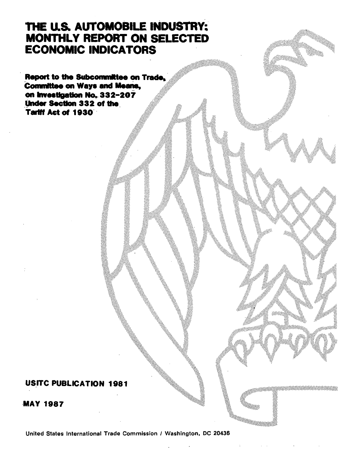# THE U.S. AUTOMOBILE INDUSTRY: MONTHLY REPORT ON SELECTED ECONOMIC INDICATORS

Report to the Subcommittee on Trade. Committee on Ways and Means, on Investigation No. 332-207 Under Section 332 of the Tariff Act of 1930. ·

### USITC PUBLICATION 1981

·MAY 1987

United States International Trade Commission I Washington, DC 20436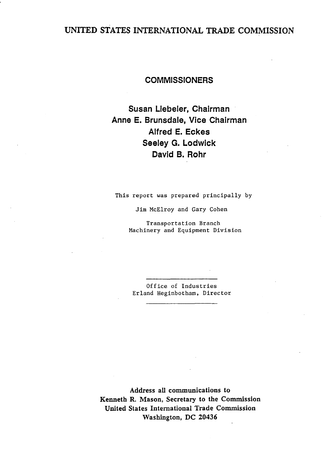## UNITED STATES INTERNATIONAL TRADE COMMISSION

### **COMMISSIONERS**

Susan Llebeler, Chairman Anne E. Brunsdale, Vice Chairman Alfred E. Eckes Seeley G. Lodwick David B. Rohr

This report was prepared principally by

Jim McElroy and Gary Cohen

Transportation Branch Machinery and Equipment Division

Office of Industries Erland Heginbotham, Director

Address all communications to Kenneth R. Mason, Secretary to the Commission United States International Trade Commission Washington, DC 20436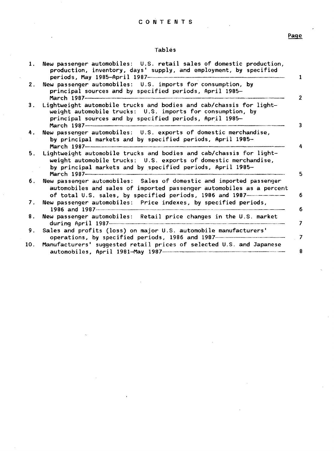#### C 0 N T E N T S

Page

#### Tables

| 1.             | New passenger automobiles: U.S. retail sales of domestic production,<br>production, inventory, days' supply, and employment, by specified                                                                       |
|----------------|-----------------------------------------------------------------------------------------------------------------------------------------------------------------------------------------------------------------|
| 2.             | New passenger automobiles: U.S. imports for consumption, by<br>principal sources and by specified periods, April 1985-                                                                                          |
| 3.             | Lightweight automobile trucks and bodies and cab/chassis for light-<br>weight automobile trucks: U.S. imports for consumption, by<br>principal sources and by specified periods, April 1985-                    |
| 4.             | New passenger automobiles: U.S. exports of domestic merchandise,<br>by principal markets and by specified periods, April 1985-<br>March 1987-------                                                             |
| 5 <sub>1</sub> | Lightweight automobile trucks and bodies and cab/chassis for light-<br>weight automobile trucks: U.S. exports of domestic merchandise,<br>by principal markets and by specified periods, April 1985-            |
| 6.             | New passenger automobiles: Sales of domestic and imported passenger<br>automobiles and sales of imported passenger automobiles as a percent<br>of total U.S. sales, by specified periods, 1986 and 1987-------- |
| 7.             | New passenger automobiles: Price indexes, by specified periods,                                                                                                                                                 |
| 8.             | New passenger automobiles: Retail price changes in the U.S. market                                                                                                                                              |
| 9.             | Sales and profits (loss) on major U.S. automobile manufacturers'<br>operations, by specified periods, 1986 and 1987                                                                                             |
| 10.            | Manufacturers' suggested retail prices of selected U.S. and Japanese                                                                                                                                            |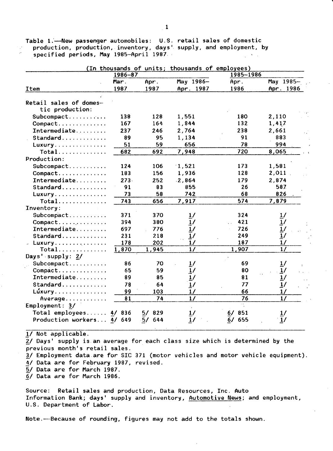Table 1.-New passenger automobiles: U.S. retail sales of domestic production, production, inventory, days' supply, and employment, by specified periods, May 1985-April 1987.

|                           | $1986 - 87$ |          | (In thousands of units; thousands of employees) | 1985-1986 |                 |
|---------------------------|-------------|----------|-------------------------------------------------|-----------|-----------------|
|                           | Mar.        | Apr.     | May 1986-                                       | Apr.      | May 1985-       |
| <b>Item</b>               | 1987        | 1987     | Apr. 1987                                       | 1986      | Apr. 1986       |
|                           |             |          |                                                 |           |                 |
| Retail sales of domes-    |             |          |                                                 |           |                 |
| tic production:           |             |          |                                                 |           |                 |
| Subcompact                | 138         | 128      | 1,551                                           | 180       | 2,110           |
| Compact                   | 167         | 164      | 1,844                                           | 132       | 1,417           |
| Intermediate              | 237         | 246      | 2,764                                           | 238       | 2,661           |
|                           | 89          | 95       | 1,134                                           | 91        | 883             |
| Luxury                    | 51          | 59       | 656                                             | 78        | 994             |
| Total                     | 682         | 692      | 7,948                                           | 720       | 8,065           |
| Production:               |             |          |                                                 |           |                 |
| Subcompact                | 124         | 106      | 1,521                                           | 173       | 1,581           |
| Compact                   | 183         | 156      | 1,936                                           | 128       | 2,011           |
| Intermediate              | $273 -$     | 252      | .2,864                                          | 179       | 2,874           |
| Standard                  | 91          | 83       | 855                                             | 26        | 587             |
| Luxury                    | 73          | 58       | 742                                             | 68        | 826             |
| Total                     | 743         | 656      | 7,917                                           | 574       | 7,879           |
| Inventory:                |             |          |                                                 |           |                 |
| Subcompact                | 371         | 370      | $\frac{1}{2}$                                   | 324       |                 |
| Compact                   | 394         | 380      | $\overline{1}$                                  | 421       | $\frac{1}{1}$ / |
| Intermediate              | 697         | 776      | 1/                                              | 726       |                 |
| Standard                  | 231         | 218      | $\overline{1}$ /                                | 249       | $\frac{1}{1}$   |
| Luxury                    | 178         | 202      | 1/                                              | 187       | 1/              |
| Total                     | 1,870       | 1,945    | $\overline{11}$                                 | 1,907     | $\overline{17}$ |
| Days' supply: 2/          |             |          |                                                 |           |                 |
| Subcompact                | 86          | 70       | $\overline{1}$ /                                | 69        | 1/              |
| Compact                   | 65          | 59       | 1/                                              | 80        | 1/              |
| Intermediate              | 89          | 85       | 1/                                              | 81        | $\frac{1}{1}$   |
| Standard                  | 78          | 64       | 1/                                              | 77        |                 |
| Lúxury                    | 99          | 103      | 1/                                              | 66        | 1/              |
| Average                   | 81          | 74       | $\frac{1}{2}$                                   | 76        | 1/              |
| Employment: 3/            |             |          |                                                 | $\cdot$ . |                 |
| Total employees           | 4/836       | 5/829    | $\overline{1}$ /                                | 6/851     |                 |
| Production workers 4/ 649 |             | $-5/644$ | $\overline{1}$ /                                | 6/655     | 1/              |

1/ Not applicable.

2/ Days' supply is an average for each class size which is determined by the previous month's retail sales.

3/ Employment data are for SIC 371 (motor vehicles and motor vehicle equipment). 4/ Data are for February 1987, revised.

5/ Data are for March 1987.

6/ Data are for March 1986.

Source: Retail sales and production, Data Resources, Inc. Auto Information Bank; days' supply and inventory, Automotive News; and employment, U.S. Department of Labor.

Note.---Because of rounding, figures may not add to the totals shown.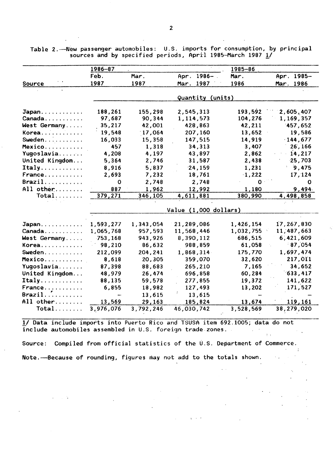Table 2. --- New passenger automobiles: U.S. imports for consumption, by principal sources and by specified periods, April 1985-March 1987 1/

|                                     | $1986 - 87$ |           |                       | $1985 - 86$ |            |
|-------------------------------------|-------------|-----------|-----------------------|-------------|------------|
|                                     | Feb.        | Mar.      | Apr. 1986-            | Mar.        | Apr. 1985- |
| Source                              | 1987        | 1987      | 1987<br>Mar.          | 1986        | Mar. 1986  |
|                                     |             |           | Quantity (units)      |             |            |
| Japan                               | 188,261     | 155,298   | 2,545,313             | 193,592     | 2,605,407  |
| Canada                              | 97,687      | 90,344    | 1,114,573             | 104,276     | 1,169,357  |
| West Germany                        | 35,217      | 42,001    | 428,863               | 42,211      | 1457,652   |
| Korea                               | 19,548      | 17,064    | 207,160               | 13,652      | 19,586     |
| Sweden.                             | 16,033      | 15,358    | 147,515               | 14,919      | $-144,677$ |
| Mexico                              | 457         | 1,318     | 34,313                | 3,407       | 26,166     |
| Yugoslavia                          | 4,208       | 4,197     | 43,897                | 2,862       | 14,217     |
| United Kingdom                      | 5,364       | 2,746     | 31,587                | 2,438       | 25,703     |
| Italy                               | 8,916       | 5,837     | 24,159                | 1,231       | 9,475      |
| France                              | 2,693       | 7,232     | 18,761                | 1,222       | 17, 124    |
| $\texttt{Brazil} \dots \dots \dots$ | $\mathbf 0$ | 2,748     | 2,748                 | $\mathbf 0$ | 0          |
| All other                           | 887         | 1,962     | 12,992                | 1,180       | 9,494.     |
| $Total$                             | 379,271     | 346,105   | 4,611,881             | 380,990     | 4,498,858  |
|                                     |             |           |                       |             |            |
|                                     |             |           | Value (1,000 dollars) |             |            |
| Japan                               | 1,593,277   | 1,343,054 | 21,289,086            | 1,426,154   | 17,267,830 |
| Canada                              | 1,065,768   | 957,593   | 11,568,446            | 1,032,755   | 11,487,663 |
| West Germany                        | 753,168     | 943,926   | 8,390,112             | 686,515     | 6,421,609  |
| Korea                               | 98,210      | 86,632    | 988,859               | 61,058      | 87,054     |
| Sweden                              | 212,099     | 204,241   | 1,868,314             | 175,770     | 1,697,474  |
| Mexico                              | 8,618       | 20,305    | 359,070               | 32,620      | 217,011    |
| Yugoslavia                          | 87,398      | 88,683    | 265,210               | 7,165       | 34,652     |
| United Kingdom                      | 48,979      | 26,474    | 696,858               | 60,284      | 633,417    |
| $Itally$                            | 88,135      | 59,578    | 277,855               | 19,372      | 141,622    |
| France                              | 6,855       | 18,982    | 127,493               | 13,202      | 171,527    |
| Brazil                              |             | 13,615    | 13,615                |             |            |
| All other                           | 13,569      | 29,163    | 185,824               | 13,674      | 119,161    |
| $Total$                             | 3,976,076   | 3,792,246 | 46,030,742            | 3,528,569   | 38,279,020 |

1/ Data include imports into Puerto Rico and TSUSA item 692.1005; data do not include automobiles assembled in U.S. foreign trade.zones.

Source: Compiled from official statistics of the  $0.5$ . Department of Commerce. Note. ---Because of rounding, figures may not add to the totals shown.

 $\sim$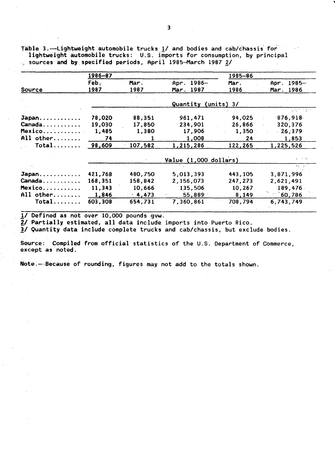Table 3.-Lightweight automobile trucks 1/ and bodies and cab/chassis for lightweight automobile trucks: U.S. imports for consumption, by principal sources and by specified periods, April 1985-March 1987 2/

|           | 1986-87 |         |                       | 1985-86      |                                                               |
|-----------|---------|---------|-----------------------|--------------|---------------------------------------------------------------|
|           | Feb.    | Mar.    | Apr. 1986-            | Mar.         | Apr. $1985-$                                                  |
| Source    | 1987    | 1987    | Mar. 1987             | 1986         | Mar. 1986                                                     |
|           |         |         | Quantity              | $(units)$ 3/ |                                                               |
|           |         |         |                       |              | $\mathcal{L}^{\text{max}}$ , where $\mathcal{L}^{\text{max}}$ |
| Japan     | 78,020  | 88,351  | 961,471               | 94,025       | 876,918                                                       |
| Canada    | 19,030  | 17,850  | 234,901               | 26,866       | 320,376                                                       |
| Mexico    | 1,485   | 1,380   | 17,906                | 1,350        | $-26,379$                                                     |
| All other | 74      |         | 1,008                 | 24           | 1,853                                                         |
| Total     | 98,609  | 107,582 | 1,215,286             | 122,265      | 1,225,526                                                     |
|           |         |         | Value (1,000 dollars) |              | $F\in\mathcal{F}$ . As                                        |
|           |         |         |                       |              | rich and                                                      |
| Japan     | 421,768 | 480,750 | 5,013,393             | 443,105      | 3,871,996                                                     |
| Canada    | 168,351 | 158,842 | 2,156,073             | 247,273      | 2,621,491                                                     |
| Mexico    | 11,343  | 10,666  | 135,506               | 10,267       | 189,476                                                       |
| All other | 1,846   | 4,473   | 55,889                | 8,149        | 60,786                                                        |
| $Total$   | 603,308 | 654,731 | 7,360,861             | 708,794      | 6,743,749                                                     |

1/ Defined as not over 10,000 pounds gvw.

2/ Partially estimated, all data include imports into Puerto Rico.

3/ Quantity data include complete trucks and cab/chassis, but exclude bodies.

Source: Compiled from official statistics of the U.S. Department of Commerce, except as noted.

Note.-Because of rounding, figures may not add to the totals shown.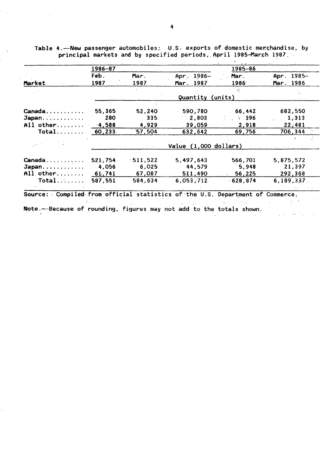|           | 1986-87       |            |                        | 1985-86          |            |
|-----------|---------------|------------|------------------------|------------------|------------|
|           | Feb.          | Mar.       | Apr. 1986-             | Mar.             | Apr. 1985- |
| Market    | 1987          | 1987       | Mar. 1987              | 1986             | Mar. 1986  |
|           |               |            |                        |                  |            |
|           |               |            | Quantity               | (units)          |            |
| $C$ anada | 55,365        | 52,240     | 590,780                | 66,442           | 682,550    |
| Japan     | 280           | 335        | 2,803                  | $\therefore$ 396 | 1,313      |
| All other | $-4,588$      | 4,929      | 39,059                 | 2,918            | 22,481     |
| Total     | 60,233.       | 57,504     | 632,642                | 69,756           | 706,344    |
|           |               |            |                        |                  |            |
|           |               |            | Vailue (1,000 dollars) |                  |            |
| Canada    | 521,754       | $-511,522$ | 5,497,643              | 566,701          | 5,875,572  |
| Japan     | 4,056         | 6,025      | 44,579                 | 5,948            | 21,397     |
| All other | <b>61,741</b> | 67,087     | 511,490                | 56,225           | 292,368    |
| Total     | 587,551       | 584,634    | 6,053,712              | 628,874          | 6,189,337  |
|           |               |            |                        |                  |            |

 $\mathcal{L}$ 

ger i

Table 4.-New passenger automobiles; U.S. exports of domestic merchandise, by principal markets and by specified periods, April 1985-March 1987

Note.-Because of rounding, figures may not add to the totals shown.

 $\ddot{\phantom{a}}$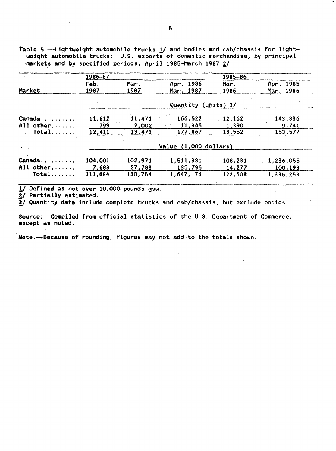table 5.-Lightweight automobile trucks 1/ and bodies and cab/chassis for lightweight automobile trucks:  $U.S.$  exports of domestic merchandise, by principal

|                  | 1986-87 |         |                       | 1985-86 |                  |
|------------------|---------|---------|-----------------------|---------|------------------|
|                  | Feb.    | Mar.    | Apr. 1986-            | Mar.    | $1985 -$<br>Apr. |
| Market           | 1987    | 1987    | Mar. 1987             | 1986    | 1986<br>Mar.     |
|                  |         |         | Quantity (units) 3/   |         |                  |
|                  |         |         |                       |         |                  |
| Canada           | 11,612  | .11,471 | 166,522               | 12,162  | 143,836          |
| $All$ other      | 799     | 2,002   | 11,345                | 1,390   | 9,741            |
| $Total$          | 12,411  | 13,473  | 177,867               | 13,552  | 153,577          |
| $\mathbb{R}^3$ . |         |         | Value (1,000 dollars) |         |                  |
| Canada           | 104,001 | 102,971 | 1,511,381             | 108,231 | 1,236,055        |
| All other,       | 7,683   | 27,783  | 135,795               | 14,277  | 100,198          |
| $Total$          | 111,684 | 130,754 | 1,647,176             | 122,508 | 1,336,253        |

1/ Defined as not over 10,000 pounds gvw.<br>2/ Partially estimated.

3/ Quantity data include complete trucks and cab/chassis, but exclude bodies.

Source: Compiled from official statistics of the U.S. Department of Commerce, except as noted.

Note.~Because of rounding, figures may not add to the totals shown.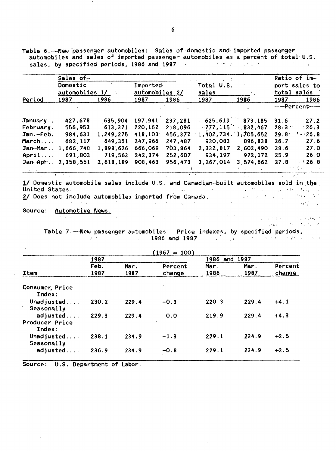Table 6. - New passenger automobiles: Sales of domestic and imported passenger automobiles and sales of imported passenger automobiles as a percent of total U.S. sales, by specified periods, 1986 and 1987 and the contract of the contract of the contract of the contract of

|           | Sales of-<br>Domestic |           | Imported       |         | Total U.S.          |                         |                              | Ratio of im-        |  |
|-----------|-----------------------|-----------|----------------|---------|---------------------|-------------------------|------------------------------|---------------------|--|
|           | automoblies 1/        |           | automobiles 2/ |         | sales               |                         | port sales to<br>total sales |                     |  |
| Period    | 1987<br>1986          |           | 1987<br>1986   |         | 1987<br>1986        |                         | 1986<br>1987                 |                     |  |
|           |                       |           |                |         |                     |                         |                              | -------Percent----- |  |
| January   | 427,678               | 635.904   | 197.941        | 237,281 | 625.619             | 873,185                 | 31.6                         | 27.2                |  |
| February. | 556,953               | 613,371   | 220,162        | 218,096 |                     | $-777, 115$ $-832, 467$ | $28.3 -$                     | $\cdot$ 26.3        |  |
| Jan.-Feb. | 984,631               | 1,249,275 | 418,103        | 456,377 | 1,402,734 1,705,652 |                         | 29.8                         | $-26.8$<br>÷.       |  |
| March     | 682,117               | 649,351   | 247,966        | 247,487 | 930,083             | 896,838                 | 26.7                         | 27.6                |  |
| Jan-Mar   | 1.666.748             | 1,898,626 | 666,069        | 703,864 | 2,332,817           | 2,602,490               | 28.6                         | 27.0                |  |
| April     | 691,803               | 719,563   | 242,374        | 252,607 | 934,197             | 972,172                 | 25.9                         | 26.0                |  |
| Jan-Apr   | 2,358,551             | 2,618,189 | 908,463        | 956,473 | 3,267,014           | 3,574,662               | 27.8                         | 26.8                |  |

1/ Domestic automobile sales include U.S. and Canadian-built automobiles sold in the United States.  $from$  Canada.  $\begin{array}{ccc} \begin{array}{ccc} \text{if } & \text{if } & \text{if } & \text{if } & \text{if } & \text{if } & \text{if } & \text{if } & \text{if } & \text{if } & \text{if } & \text{if } & \text{if } & \text{if } & \text{if } & \text{if } & \text{if } & \text{if } & \text{if } & \text{if } & \text{if } & \text{if } & \text{if } & \text{if } & \text{if } & \text{if } & \text{if } & \text{if } & \text{if } & \text{if } & \text{if } & \text{if } & \text$ onited States.<br>2/ Does not include automobiles imported from Canada.

Source: Automotive News.  $\mathcal{L}_{\rm eff} = 2.0$ 

 $\mathcal{L}_{\text{max}}$  and  $\mathcal{L}_{\text{max}}$  . In the  $\mathcal{L}_{\text{max}}$ 

 $\mathcal{I}^{\mathcal{I}}(\mathcal{I} \mathcal{F})$  , and the set of the set of the set of the set of  $\mathcal{I}$ .····

Table 7.——New passenger automobiles: Price indexes, by specified periods, ,. ... ... ... ... 1986 and 1987

 $\label{eq:2.1} \mathcal{L}_{\mathcal{A}} = \mathcal{L}_{\mathcal{A}} \left( \mathcal{L}_{\mathcal{A}} \right) \left( \mathcal{L}_{\mathcal{A}} \right) = \mathcal{L}_{\mathcal{A}} \left( \mathcal{L}_{\mathcal{A}} \right) \left( \mathcal{L}_{\mathcal{A}} \right)$ 

|                                      |                              |       | (1967<br>$= 100$  |              |              |                   |
|--------------------------------------|------------------------------|-------|-------------------|--------------|--------------|-------------------|
|                                      | 1987                         |       |                   | 1986<br>and  | 1987         |                   |
| Item                                 | Feb.<br>Mar.<br>1987<br>1987 |       | Percent<br>change | Mar.<br>1986 | Mar.<br>1987 | Percent<br>change |
| Consumer, Price<br>Index:            |                              |       |                   |              |              |                   |
| Unadjusted<br>Seasonally             | 230.2                        | 229.4 | $-0.3$            | 220.3        | 229.4        | $+4.1$            |
| adjusted<br>Producer Price<br>Index: | 229.3                        | 229.4 | 0.0               | 219.9        | 229.4        | $+4.3$            |
| Unadjusted<br>Seasonally             | 238.1                        | 234.9 | $-1.3$            | 229.1        | 234.9        | $+2.5$            |
| adjusted                             | 236.9                        | 234.9 | $-0.8$            | 229.1        | 234.9        | $+2.5$            |

Source: U.S. Department of Labor.

 $\sim 10^{-10}$ 

6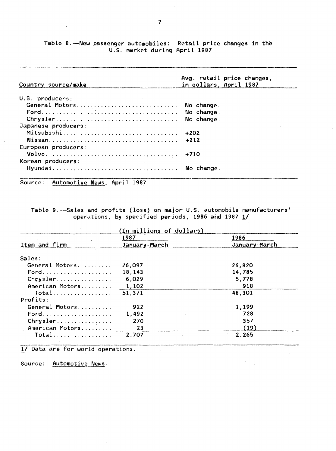Table 8. -- New passenger automobiles: Retail price changes in the U.S. market during April 1987

| Country source/make                 | Avg. retail price changes,<br>in dollars, April 1987 |
|-------------------------------------|------------------------------------------------------|
| U.S. producers:                     |                                                      |
| General Motors                      | No change.                                           |
|                                     | No change.                                           |
| Chrysler                            | No change.                                           |
| Japanese producers:                 |                                                      |
| Mitsubishi                          | $+202$                                               |
|                                     | $+212$                                               |
| European producers:                 |                                                      |
|                                     | $+710$                                               |
| Korean producers:<br><b>Charles</b> |                                                      |
|                                     | No change.                                           |

Source: Automotive News, April 1987.

Table 9.-Sales and profits (loss) on major U.S. automobile manufacturers' operations, by specified periods, 1986 and 1987  $1/$ 

|                 | 1987          | 1986          |  |  |
|-----------------|---------------|---------------|--|--|
| Item and firm   | January-March | January-March |  |  |
| Sales:          |               |               |  |  |
| General Motors  | 26,097        | 26,820        |  |  |
| Ford            | 18,143        | 14,785        |  |  |
| Chrysler        | 6,029         | 5.778         |  |  |
| American Motors | 1,102         | 918           |  |  |
| Total           | 51,371        | 48,301        |  |  |
| Profits:        |               |               |  |  |
| General Motors  | 922           | 1,199         |  |  |
| Ford            | 1.492         | 728           |  |  |
| Chrysler        | 270           | 357           |  |  |
| American Motors | 23            | (19)          |  |  |
| Total           | 2.707         | 2.265         |  |  |

1/ Data are for world operations.

Source: Automotive News.